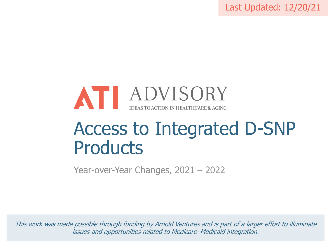Last Updated: 12/20/21



# Access to Integrated D-SNP **Products**

Year-over-Year Changes, 2021 – 2022

This work was made possible through funding by Arnold Ventures and is part of a larger effort to illuminate issues and opportunities related to Medicare–Medicaid integration.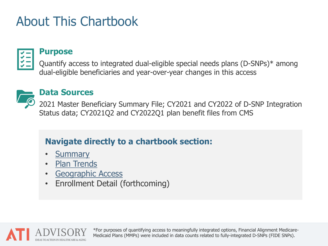### About This Chartbook



#### **Purpose**

Quantify access to integrated dual-eligible special needs plans (D-SNPs)\* among dual-eligible beneficiaries and year-over-year changes in this access



#### **Data Sources**

2021 Master Beneficiary Summary File; CY2021 and CY2022 of D-SNP Integration Status data; CY2021Q2 and CY2022Q1 plan benefit files from CMS

#### **Navigate directly to a chartbook section:**

- **[Summary](#page-3-0)**
- [Plan Trends](#page-4-0)
- [Geographic Access](#page-7-0)
- Enrollment Detail (forthcoming)



\*For purposes of quantifying access to meaningfully integrated options, Financial Alignment Medicare-Medicaid Plans (MMPs) were included in data counts related to fully-integrated D-SNPs (FIDE SNPs).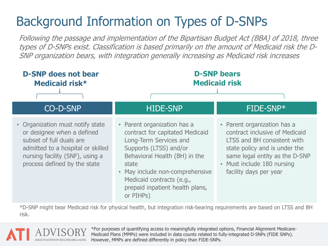## Background Information on Types of D-SNPs

Following the passage and implementation of the Bipartisan Budget Act (BBA) of 2018, three types of D-SNPs exist. Classification is based primarily on the amount of Medicaid risk the D-SNP organization bears, with integration generally increasing as Medicaid risk increases



\*D-SNP might bear Medicaid risk for physical health, but integration risk-bearing requirements are based on LTSS and BH risk.



\*For purposes of quantifying access to meaningfully integrated options, Financial Alignment Medicare-Medicaid Plans (MMPs) were included in data counts related to fully-integrated D-SNPs (FIDE SNPs). However, MMPs are defined differently in policy than FIDE-SNPs.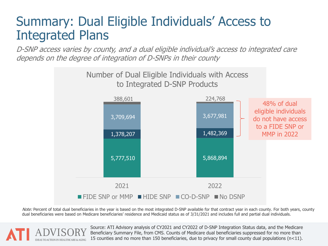### <span id="page-3-0"></span>Summary: Dual Eligible Individuals' Access to Integrated Plans

D-SNP access varies by county, and a dual eligible individual's access to integrated care depends on the degree of integration of D-SNPs in their county



Note: Percent of total dual beneficiaries in the year is based on the most integrated D-SNP available for that contract year in each county. For both years, county dual beneficiaries were based on Medicare beneficiaries' residence and Medicaid status as of 3/31/2021 and includes full and partial dual individuals.

> Source: ATI Advisory analysis of CY2021 and CY2022 of D-SNP Integration Status data, and the Medicare Beneficiary Summary File, from CMS. Counts of Medicare dual beneficiaries suppressed for no more than 15 counties and no more than 150 beneficiaries, due to privacy for small county dual populations  $(n<11)$ .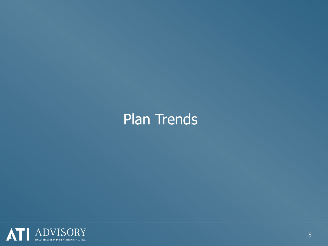# <span id="page-4-0"></span>Plan Trends

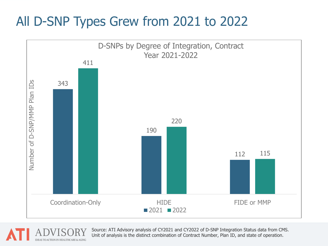### All D-SNP Types Grew from 2021 to 2022





Source: ATI Advisory analysis of CY2021 and CY2022 of D-SNP Integration Status data from CMS. Unit of analysis is the distinct combination of Contract Number, Plan ID, and state of operation.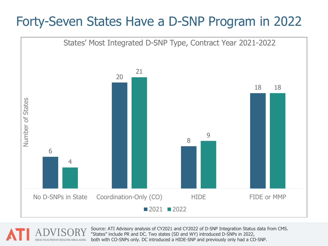### Forty-Seven States Have a D-SNP Program in 2022



Source: ATI Advisory analysis of CY2021 and CY2022 of D-SNP Integration Status data from CMS. "States" include PR and DC. Two states (SD and WY) introduced D-SNPs in 2022, both with CO-SNPs only. DC introduced a HIDE-SNP and previously only had a CO-SNP.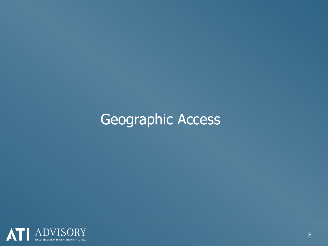# <span id="page-7-0"></span>Geographic Access

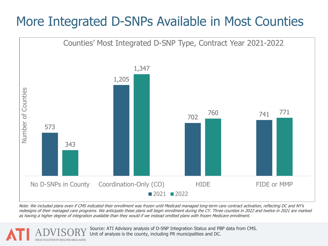### More Integrated D-SNPs Available in Most Counties



Note: We included plans even if CMS indicated their enrollment was frozen until Medicaid managed long-term care contract activation, reflecting DC and NY's redesigns of their managed care programs. We anticipate these plans will begin enrollment during the CY. Three counties in 2022 and twelve in 2021 are marked as having a higher degree of integration available than they would if we instead omitted plans with frozen Medicare enrollment.

> Source: ATI Advisory analysis of D-SNP Integration Status and PBP data from CMS. Unit of analysis is the county, including PR municipalities and DC.

TO ACTION IN HEAITHCARE & AGING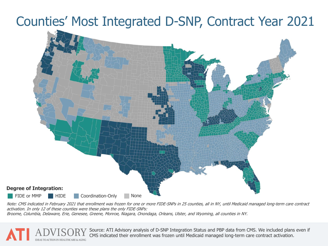### Counties' Most Integrated D-SNP, Contract Year 2021



Note: CMS indicated in February 2021 that enrollment was frozen for one or more FIDE-SNPs in 25 counties, all in NY, until Medicaid managed long-term care contract activation. In only 12 of these counties were these plans the only FIDE-SNPs:

Broome, Columbia, Delaware, Erie, Genesee, Greene, Monroe, Niagara, Onondaga, Orleans, Ulster, and Wyoming, all counties in NY.

Source: ATI Advisory analysis of D-SNP Integration Status and PBP data from CMS. We included plans even if CMS indicated their enrollment was frozen until Medicaid managed long-term care contract activation.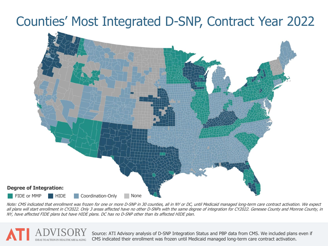#### Counties' Most Integrated D-SNP, Contract Year 2022



Note: CMS indicated that enrollment was frozen for one or more D-SNP in 30 counties, all in NY or DC, until Medicaid managed long-term care contract activation. We expect all plans will start enrollment in CY2022. Only 3 areas affected have no other D-SNPs with the same degree of integration for CY2022. Genesee County and Monroe County, in NY, have affected FIDE plans but have HIDE plans. DC has no D-SNP other than its affected HIDE plan.

**ACTION IN HEALTHCARE & AGING** 

Source: ATI Advisory analysis of D-SNP Integration Status and PBP data from CMS. We included plans even if<br>CMS indicated their annellment was frazen until Medicaid managed lang term care sentrate activation. CMS indicated their enrollment was frozen until Medicaid managed long-term care contract activation.